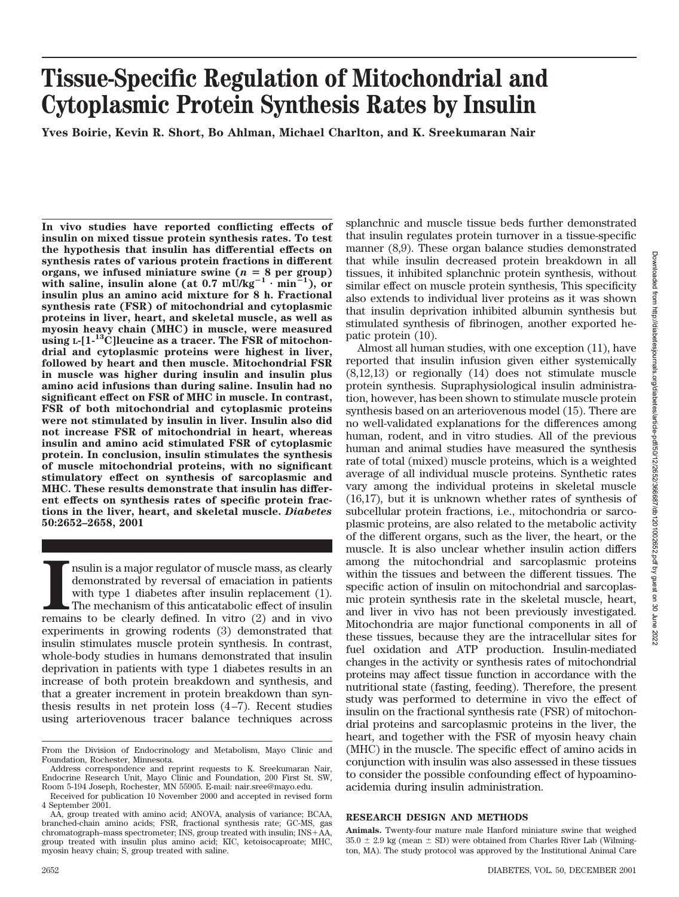# **Tissue-Specific Regulation of Mitochondrial and Cytoplasmic Protein Synthesis Rates by Insulin**

**Yves Boirie, Kevin R. Short, Bo Ahlman, Michael Charlton, and K. Sreekumaran Nair**

**In vivo studies have reported conflicting effects of insulin on mixed tissue protein synthesis rates. To test the hypothesis that insulin has differential effects on synthesis rates of various protein fractions in different** organs, we infused miniature swine  $(n = 8$  per group) with saline, insulin alone (at  $0.7 \text{ mU/kg}^{-1} \cdot \text{min}^{-1}$ ), or **insulin plus an amino acid mixture for 8 h. Fractional synthesis rate (FSR) of mitochondrial and cytoplasmic proteins in liver, heart, and skeletal muscle, as well as myosin heavy chain (MHC) in muscle, were measured using L-[1-13C]leucine as a tracer. The FSR of mitochondrial and cytoplasmic proteins were highest in liver, followed by heart and then muscle. Mitochondrial FSR in muscle was higher during insulin and insulin plus amino acid infusions than during saline. Insulin had no significant effect on FSR of MHC in muscle. In contrast, FSR of both mitochondrial and cytoplasmic proteins were not stimulated by insulin in liver. Insulin also did not increase FSR of mitochondrial in heart, whereas insulin and amino acid stimulated FSR of cytoplasmic protein. In conclusion, insulin stimulates the synthesis of muscle mitochondrial proteins, with no significant stimulatory effect on synthesis of sarcoplasmic and MHC. These results demonstrate that insulin has different effects on synthesis rates of specific protein fractions in the liver, heart, and skeletal muscle.** *Diabetes* **50:2652–2658, 2001**

**I** remains is a major regulator of muscle mass, as clearly demonstrated by reversal of emaciation in patients with type 1 diabetes after insulin replacement (1). The mechanism of this anticatabolic effect of insulin remai nsulin is a major regulator of muscle mass, as clearly demonstrated by reversal of emaciation in patients with type 1 diabetes after insulin replacement (1). The mechanism of this anticatabolic effect of insulin experiments in growing rodents (3) demonstrated that insulin stimulates muscle protein synthesis. In contrast, whole-body studies in humans demonstrated that insulin deprivation in patients with type 1 diabetes results in an increase of both protein breakdown and synthesis, and that a greater increment in protein breakdown than synthesis results in net protein loss (4–7). Recent studies using arteriovenous tracer balance techniques across

splanchnic and muscle tissue beds further demonstrated that insulin regulates protein turnover in a tissue-specific manner (8,9). These organ balance studies demonstrated that while insulin decreased protein breakdown in all tissues, it inhibited splanchnic protein synthesis, without similar effect on muscle protein synthesis, This specificity also extends to individual liver proteins as it was shown that insulin deprivation inhibited albumin synthesis but stimulated synthesis of fibrinogen, another exported hepatic protein (10).

Almost all human studies, with one exception (11), have reported that insulin infusion given either systemically (8,12,13) or regionally (14) does not stimulate muscle protein synthesis. Supraphysiological insulin administration, however, has been shown to stimulate muscle protein synthesis based on an arteriovenous model (15). There are no well-validated explanations for the differences among human, rodent, and in vitro studies. All of the previous human and animal studies have measured the synthesis rate of total (mixed) muscle proteins, which is a weighted average of all individual muscle proteins. Synthetic rates vary among the individual proteins in skeletal muscle (16,17), but it is unknown whether rates of synthesis of subcellular protein fractions, i.e., mitochondria or sarcoplasmic proteins, are also related to the metabolic activity of the different organs, such as the liver, the heart, or the muscle. It is also unclear whether insulin action differs among the mitochondrial and sarcoplasmic proteins within the tissues and between the different tissues. The specific action of insulin on mitochondrial and sarcoplasmic protein synthesis rate in the skeletal muscle, heart, and liver in vivo has not been previously investigated. Mitochondria are major functional components in all of these tissues, because they are the intracellular sites for fuel oxidation and ATP production. Insulin-mediated changes in the activity or synthesis rates of mitochondrial proteins may affect tissue function in accordance with the nutritional state (fasting, feeding). Therefore, the present study was performed to determine in vivo the effect of insulin on the fractional synthesis rate (FSR) of mitochondrial proteins and sarcoplasmic proteins in the liver, the heart, and together with the FSR of myosin heavy chain (MHC) in the muscle. The specific effect of amino acids in conjunction with insulin was also assessed in these tissues to consider the possible confounding effect of hypoaminoacidemia during insulin administration.

### **RESEARCH DESIGN AND METHODS**

**Animals.** Twenty-four mature male Hanford miniature swine that weighed  $35.0 \pm 2.9$  kg (mean  $\pm$  SD) were obtained from Charles River Lab (Wilmington, MA). The study protocol was approved by the Institutional Animal Care

From the Division of Endocrinology and Metabolism, Mayo Clinic and Foundation, Rochester, Minnesota.

Address correspondence and reprint requests to K. Sreekumaran Nair, Endocrine Research Unit, Mayo Clinic and Foundation, 200 First St. SW, Room 5-194 Joseph, Rochester, MN 55905. E-mail: nair.sree@mayo.edu.

Received for publication 10 November 2000 and accepted in revised form 4 September 2001.

AA, group treated with amino acid; ANOVA, analysis of variance; BCAA, branched-chain amino acids; FSR, fractional synthesis rate; GC-MS, gas chromatograph–mass spectrometer; INS, group treated with insulin; INS-AA, group treated with insulin plus amino acid; KIC, ketoisocaproate; MHC, myosin heavy chain; S, group treated with saline.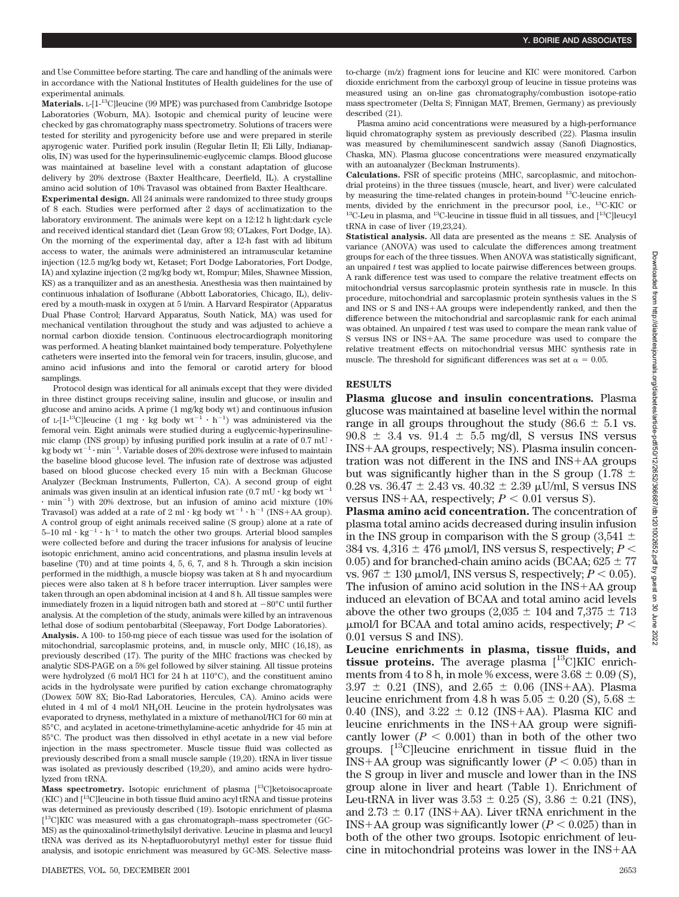and Use Committee before starting. The care and handling of the animals were in accordance with the National Institutes of Health guidelines for the use of experimental animals.

**Materials.** L-[1-13C]leucine (99 MPE) was purchased from Cambridge Isotope Laboratories (Woburn, MA). Isotopic and chemical purity of leucine were checked by gas chromatography mass spectrometry. Solutions of tracers were tested for sterility and pyrogenicity before use and were prepared in sterile apyrogenic water. Purified pork insulin (Regular Iletin II; Eli Lilly, Indianapolis, IN) was used for the hyperinsulinemic-euglycemic clamps. Blood glucose was maintained at baseline level with a constant adaptation of glucose delivery by 20% dextrose (Baxter Healthcare, Deerfield, IL). A crystalline amino acid solution of 10% Travasol was obtained from Baxter Healthcare.

**Experimental design.** All 24 animals were randomized to three study groups of 8 each. Studies were performed after 2 days of acclimatization to the laboratory environment. The animals were kept on a 12:12 h light:dark cycle and received identical standard diet (Lean Grow 93; O'Lakes, Fort Dodge, IA). On the morning of the experimental day, after a 12-h fast with ad libitum access to water, the animals were administered an intramuscular ketamine injection (12.5 mg/kg body wt, Ketaset; Fort Dodge Laboratories, Fort Dodge, IA) and xylazine injection (2 mg/kg body wt, Rompur; Miles, Shawnee Mission, KS) as a tranquilizer and as an anesthesia. Anesthesia was then maintained by continuous inhalation of Isoflurane (Abbott Laboratories, Chicago, IL), delivered by a mouth-mask in oxygen at 5 l/min. A Harvard Respirator (Apparatus Dual Phase Control; Harvard Apparatus, South Natick, MA) was used for mechanical ventilation throughout the study and was adjusted to achieve a normal carbon dioxide tension. Continuous electrocardiograph monitoring was performed. A heating blanket maintained body temperature. Polyethylene catheters were inserted into the femoral vein for tracers, insulin, glucose, and amino acid infusions and into the femoral or carotid artery for blood samplings.

Protocol design was identical for all animals except that they were divided in three distinct groups receiving saline, insulin and glucose, or insulin and glucose and amino acids. A prime (1 mg/kg body wt) and continuous infusion of L-[1<sup>-13</sup>C]leucine (1 mg · kg body  $wt^{-1} \cdot h^{-1}$ ) was administered via the femoral vein. Eight animals were studied during a euglycemic-hyperinsulinemic clamp (INS group) by infusing purified pork insulin at a rate of  $0.7\;\mathrm{mU}$   $\cdot$ kg body  $wt^{-1} \cdot min^{-1}$ . Variable doses of 20% dextrose were infused to maintain the baseline blood glucose level. The infusion rate of dextrose was adjusted based on blood glucose checked every 15 min with a Beckman Glucose Analyzer (Beckman Instruments, Fullerton, CA). A second group of eight animals was given insulin at an identical infusion rate  $(0.7 \text{ mU} \cdot \text{kg}$  body wt<sup>-1</sup>  $\cdot$  min<sup>-1</sup>) with 20% dextrose, but an infusion of amino acid mixture (10%) Travasol) was added at a rate of  $2 \text{ ml} \cdot \text{kg}$  body  $\text{wt}^{-1} \cdot \text{h}^{-1}$  (INS+AA group). A control group of eight animals received saline (S group) alone at a rate of  $5-10$  ml  $\cdot$  kg<sup>-1</sup>  $\cdot$  h<sup>-1</sup> to match the other two groups. Arterial blood samples were collected before and during the tracer infusions for analysis of leucine isotopic enrichment, amino acid concentrations, and plasma insulin levels at baseline (T0) and at time points 4, 5, 6, 7, and 8 h. Through a skin incision performed in the midthigh, a muscle biopsy was taken at 8 h and myocardium pieces were also taken at 8 h before tracer interruption. Liver samples were taken through an open abdominal incision at 4 and 8 h. All tissue samples were immediately frozen in a liquid nitrogen bath and stored at  $-80^{\circ}$ C until further analysis. At the completion of the study, animals were killed by an intravenous lethal dose of sodium pentobarbital (Sleepaway, Fort Dodge Laboratories). **Analysis.** A 100- to 150-mg piece of each tissue was used for the isolation of mitochondrial, sarcoplasmic proteins, and, in muscle only, MHC (16,18), as previously described (17). The purity of the MHC fractions was checked by analytic SDS-PAGE on a 5% gel followed by silver staining. All tissue proteins were hydrolyzed (6 mol/l HCl for 24 h at 110°C), and the constituent amino acids in the hydrolysate were purified by cation exchange chromatography (Dowex 50W 8X; Bio-Rad Laboratories, Hercules, CA). Amino acids were eluted in 4 ml of 4 mol/l NH4OH. Leucine in the protein hydrolysates was evaporated to dryness, methylated in a mixture of methanol/HCl for 60 min at 85°C, and acylated in acetone-trimethylamine-acetic anhydride for 45 min at 85°C. The product was then dissolved in ethyl acetate in a new vial before injection in the mass spectrometer. Muscle tissue fluid was collected as previously described from a small muscle sample (19,20). tRNA in liver tissue was isolated as previously described (19,20), and amino acids were hydrolyzed from tRNA.

**Mass spectrometry.** Isotopic enrichment of plasma [13C]ketoisocaproate  $(KIC)$  and  $[13C]$  leucine in both tissue fluid amino acyl tRNA and tissue proteins was determined as previously described (19). Isotopic enrichment of plasma [ 13C]KIC was measured with a gas chromatograph–mass spectrometer (GC-MS) as the quinoxalinol-trimethylsilyl derivative. Leucine in plasma and leucyl tRNA was derived as its N-heptafluorobutyryl methyl ester for tissue fluid analysis, and isotopic enrichment was measured by GC-MS. Selective massto-charge (m/z) fragment ions for leucine and KIC were monitored. Carbon dioxide enrichment from the carboxyl group of leucine in tissue proteins was measured using an on-line gas chromatography/combustion isotope-ratio mass spectrometer (Delta S; Finnigan MAT, Bremen, Germany) as previously described (21).

Plasma amino acid concentrations were measured by a high-performance liquid chromatography system as previously described (22). Plasma insulin was measured by chemiluminescent sandwich assay (Sanofi Diagnostics, Chaska, MN). Plasma glucose concentrations were measured enzymatically with an autoanalyzer (Beckman Instruments).

**Calculations.** FSR of specific proteins (MHC, sarcoplasmic, and mitochondrial proteins) in the three tissues (muscle, heart, and liver) were calculated by measuring the time-related changes in protein-bound 13C-leucine enrichments, divided by the enrichment in the precursor pool, i.e., 13C-KIC or  $13C$ -Leu in plasma, and  $13C$ -leucine in tissue fluid in all tissues, and  $[13C]$ leucyl tRNA in case of liver (19,23,24).

**Statistical analysis.** All data are presented as the means  $\pm$  SE. Analysis of variance (ANOVA) was used to calculate the differences among treatment groups for each of the three tissues. When ANOVA was statistically significant, an unpaired *t* test was applied to locate pairwise differences between groups. A rank difference test was used to compare the relative treatment effects on mitochondrial versus sarcoplasmic protein synthesis rate in muscle. In this procedure, mitochondrial and sarcoplasmic protein synthesis values in the S and INS or S and INS-AA groups were independently ranked, and then the difference between the mitochondrial and sarcoplasmic rank for each animal was obtained. An unpaired *t* test was used to compare the mean rank value of S versus INS or INS-AA. The same procedure was used to compare the relative treatment effects on mitochondrial versus MHC synthesis rate in muscle. The threshold for significant differences was set at  $\alpha = 0.05$ .

## **RESULTS**

**Plasma glucose and insulin concentrations***.* Plasma glucose was maintained at baseline level within the normal range in all groups throughout the study (86.6  $\pm$  5.1 vs.  $90.8 \pm 3.4$  vs.  $91.4 \pm 5.5$  mg/dl, S versus INS versus INS-AA groups, respectively; NS). Plasma insulin concentration was not different in the INS and INS-AA groups but was significantly higher than in the S group (1.78  $\pm$ 0.28 vs.  $36.47 \pm 2.43$  vs.  $40.32 \pm 2.39$   $\mu$ U/ml, S versus INS versus INS+AA, respectively;  $P < 0.01$  versus S).

**Plasma amino acid concentration.** The concentration of plasma total amino acids decreased during insulin infusion in the INS group in comparison with the S group  $(3,541 \pm$ 384 vs.  $4,316 \pm 476$  µmol/l, INS versus S, respectively; *P* < 0.05) and for branched-chain amino acids (BCAA;  $625 \pm 77$ vs.  $967 \pm 130$   $\mu$ mol/l, INS versus S, respectively;  $P < 0.05$ ). The infusion of amino acid solution in the INS-AA group induced an elevation of BCAA and total amino acid levels above the other two groups (2,035  $\pm$  104 and 7,375  $\pm$  713  $\mu$ mol/l for BCAA and total amino acids, respectively;  $P \leq$ 0.01 versus S and INS).

**Leucine enrichments in plasma, tissue fluids, and tissue proteins.** The average plasma  $\binom{13}{1}$ KIC enrichments from 4 to 8 h, in mole % excess, were  $3.68 \pm 0.09$  (S),  $3.97 \pm 0.21$  (INS), and  $2.65 \pm 0.06$  (INS+AA). Plasma leucine enrichment from 4.8 h was  $5.05 \pm 0.20$  (S),  $5.68 \pm 0.20$ 0.40 (INS), and  $3.22 \pm 0.12$  (INS+AA). Plasma KIC and leucine enrichments in the INS-AA group were significantly lower  $(P < 0.001)$  than in both of the other two groups.  $[$ <sup>13</sup>C]leucine enrichment in tissue fluid in the  $\text{INS+AA}$  group was significantly lower  $(P < 0.05)$  than in the S group in liver and muscle and lower than in the INS group alone in liver and heart (Table 1). Enrichment of Leu-tRNA in liver was  $3.53 \pm 0.25$  (S),  $3.86 \pm 0.21$  (INS), and  $2.73 \pm 0.17$  (INS+AA). Liver tRNA enrichment in the  $INS+AA$  group was significantly lower  $(P < 0.025)$  than in both of the other two groups. Isotopic enrichment of leucine in mitochondrial proteins was lower in the INS-AA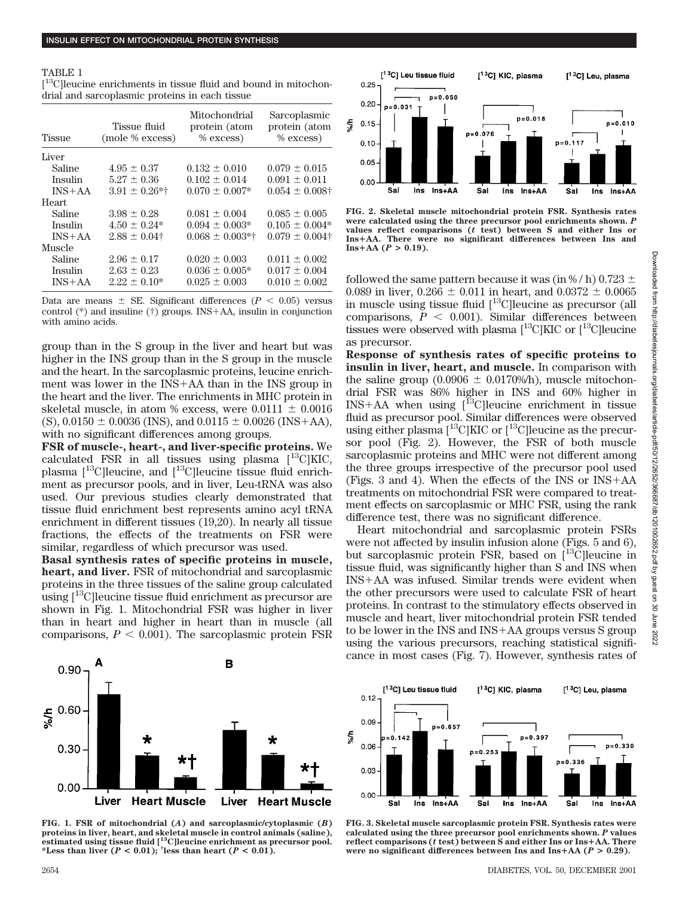#### TABLE 1

[ 13C]leucine enrichments in tissue fluid and bound in mitochondrial and sarcoplasmic proteins in each tissue

| Tissue fluid<br>(mole % excess) | Mitochondrial<br>protein (atom<br>$%$ excess) | Sarcoplasmic<br>protein (atom<br>$%$ excess) |
|---------------------------------|-----------------------------------------------|----------------------------------------------|
|                                 |                                               |                                              |
| $4.95 \pm 0.37$                 | $0.132 \pm 0.010$                             | $0.079 \pm 0.015$                            |
| $5.27 + 0.36$                   | $0.102 + 0.014$                               | $0.091 + 0.011$                              |
| $3.91 \pm 0.26$ *†              | $0.070 + 0.007*$                              | $0.054 \pm 0.008$ †                          |
|                                 |                                               |                                              |
| $3.98 \pm 0.28$                 | $0.081 \pm 0.004$                             | $0.085 \pm 0.005$                            |
| $4.50 + 0.24*$                  | $0.094 \pm 0.003*$                            | $0.105 \pm 0.004*$                           |
| $2.88 \pm 0.04$ †               | $0.068 \pm 0.003$ *†                          | $0.079 \pm 0.004$ †                          |
|                                 |                                               |                                              |
| $2.96 \pm 0.17$                 | $0.020 \pm 0.003$                             | $0.011 \pm 0.002$                            |
| $2.63 + 0.23$                   | $0.036 \pm 0.005*$                            | $0.017 \pm 0.004$                            |
| $2.22 \pm 0.10^*$               | $0.025 \pm 0.003$                             | $0.010 \pm 0.002$                            |
|                                 |                                               |                                              |

Data are means  $\pm$  SE. Significant differences ( $P < 0.05$ ) versus control (\*) and insuline (†) groups. INS-AA, insulin in conjunction with amino acids.

group than in the S group in the liver and heart but was higher in the INS group than in the S group in the muscle and the heart. In the sarcoplasmic proteins, leucine enrichment was lower in the INS-AA than in the INS group in the heart and the liver. The enrichments in MHC protein in skeletal muscle, in atom % excess, were  $0.0111 \pm 0.0016$  $(S)$ , 0.0150  $\pm$  0.0036 (INS), and 0.0115  $\pm$  0.0026 (INS+AA), with no significant differences among groups.

**FSR of muscle-, heart-, and liver-specific proteins.** We calculated FSR in all tissues using plasma  $[$ <sup>13</sup>C]KIC, plasma  $[$ <sup>13</sup>C]leucine, and  $[$ <sup>13</sup>C]leucine tissue fluid enrichment as precursor pools, and in liver, Leu-tRNA was also used. Our previous studies clearly demonstrated that tissue fluid enrichment best represents amino acyl tRNA enrichment in different tissues (19,20). In nearly all tissue fractions, the effects of the treatments on FSR were similar, regardless of which precursor was used.

**Basal synthesis rates of specific proteins in muscle, heart, and liver.** FSR of mitochondrial and sarcoplasmic proteins in the three tissues of the saline group calculated using [13C]leucine tissue fluid enrichment as precursor are shown in Fig. 1. Mitochondrial FSR was higher in liver than in heart and higher in heart than in muscle (all comparisons,  $P < 0.001$ ). The sarcoplasmic protein FSR



**FIG. 2. Skeletal muscle mitochondrial protein FSR. Synthesis rates were calculated using the three precursor pool enrichments shown.** *P* **values reflect comparisons (***t* **test) between S and either Ins or InsAA. There were no significant differences between Ins and**  $\text{Ins+AA} (P > 0.19).$ 

followed the same pattern because it was (in %/h) 0.723  $\pm$ 0.089 in liver, 0.266  $\pm$  0.011 in heart, and 0.0372  $\pm$  0.0065 in muscle using tissue fluid  $[$ <sup>13</sup>C]leucine as precursor (all comparisons,  $P < 0.001$ ). Similar differences between tissues were observed with plasma  $[{}^{13}$ C|KIC or  $[{}^{13}$ C|leucine as precursor.

**Response of synthesis rates of specific proteins to insulin in liver, heart, and muscle.** In comparison with the saline group  $(0.0906 \pm 0.0170\%)$ h), muscle mitochondrial FSR was 86% higher in INS and 60% higher in  $INS+AA$  when using [ $^{13}C$ ] leucine enrichment in tissue fluid as precursor pool. Similar differences were observed using either plasma [<sup>13</sup>C]KIC or [<sup>13</sup>C]leucine as the precursor pool (Fig. 2). However, the FSR of both muscle sarcoplasmic proteins and MHC were not different among the three groups irrespective of the precursor pool used (Figs. 3 and 4). When the effects of the INS or INS-AA treatments on mitochondrial FSR were compared to treatment effects on sarcoplasmic or MHC FSR, using the rank difference test, there was no significant difference.

Heart mitochondrial and sarcoplasmic protein FSRs were not affected by insulin infusion alone (Figs. 5 and 6), but sarcoplasmic protein FSR, based on  $[$ <sup>13</sup>C]leucine in tissue fluid, was significantly higher than S and INS when INS-AA was infused. Similar trends were evident when the other precursors were used to calculate FSR of heart proteins. In contrast to the stimulatory effects observed in muscle and heart, liver mitochondrial protein FSR tended to be lower in the INS and INS-AA groups versus S group using the various precursors, reaching statistical significance in most cases (Fig. 7). However, synthesis rates of



**FIG. 1. FSR of mitochondrial (***A***) and sarcoplasmic/cytoplasmic (***B***) proteins in liver, heart, and skeletal muscle in control animals (saline), estimated using tissue fluid [13C]leucine enrichment as precursor pool.** \*Less than liver  $(P < 0.01)$ ; <sup>†</sup>less than heart  $(P < 0.01)$ .



**FIG. 3. Skeletal muscle sarcoplasmic protein FSR. Synthesis rates were calculated using the three precursor pool enrichments shown.** *P* **values** reflect comparisons (*t* test) between S and either Ins or Ins+AA. There **were no significant differences between Ins and Ins+AA (** $P > 0.29$ **).**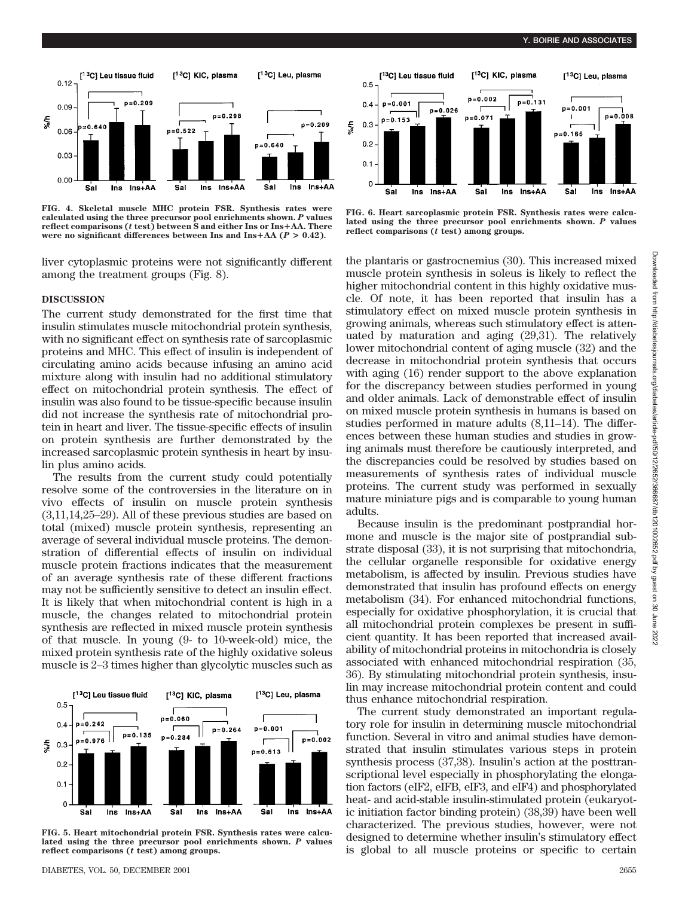[<sup>13</sup>C] Leu, plasma

 $p=0.008$ 

 $Ins<sub>+</sub>AA$ 



**FIG. 4. Skeletal muscle MHC protein FSR. Synthesis rates were calculated using the three precursor pool enrichments shown.** *P* **values** reflect comparisons ( $t$  **test**) between S and either Ins or Ins $+A$ A. There were no significant differences between Ins and Ins $+AA$  ( $P > 0.42$ ).

liver cytoplasmic proteins were not significantly different among the treatment groups (Fig. 8).

## **DISCUSSION**

The current study demonstrated for the first time that insulin stimulates muscle mitochondrial protein synthesis, with no significant effect on synthesis rate of sarcoplasmic proteins and MHC. This effect of insulin is independent of circulating amino acids because infusing an amino acid mixture along with insulin had no additional stimulatory effect on mitochondrial protein synthesis. The effect of insulin was also found to be tissue-specific because insulin did not increase the synthesis rate of mitochondrial protein in heart and liver. The tissue-specific effects of insulin on protein synthesis are further demonstrated by the increased sarcoplasmic protein synthesis in heart by insulin plus amino acids.

The results from the current study could potentially resolve some of the controversies in the literature on in vivo effects of insulin on muscle protein synthesis (3,11,14,25–29). All of these previous studies are based on total (mixed) muscle protein synthesis, representing an average of several individual muscle proteins. The demonstration of differential effects of insulin on individual muscle protein fractions indicates that the measurement of an average synthesis rate of these different fractions may not be sufficiently sensitive to detect an insulin effect. It is likely that when mitochondrial content is high in a muscle, the changes related to mitochondrial protein synthesis are reflected in mixed muscle protein synthesis of that muscle. In young (9- to 10-week-old) mice, the mixed protein synthesis rate of the highly oxidative soleus muscle is 2–3 times higher than glycolytic muscles such as



**FIG. 5. Heart mitochondrial protein FSR. Synthesis rates were calculated using the three precursor pool enrichments shown.** *P* **values reflect comparisons (***t* **test) among groups.**



[<sup>13</sup>C] KIC, plasma

 $p=0.131$ 

 $p = 0.002$ 

[<sup>13</sup>C] Leu tissue fluid

 $n = 0.001$ 

 $0.5$ 

 $0.4$ 

the plantaris or gastrocnemius (30). This increased mixed muscle protein synthesis in soleus is likely to reflect the higher mitochondrial content in this highly oxidative muscle. Of note, it has been reported that insulin has a stimulatory effect on mixed muscle protein synthesis in growing animals, whereas such stimulatory effect is attenuated by maturation and aging (29,31). The relatively lower mitochondrial content of aging muscle (32) and the decrease in mitochondrial protein synthesis that occurs with aging (16) render support to the above explanation for the discrepancy between studies performed in young and older animals. Lack of demonstrable effect of insulin on mixed muscle protein synthesis in humans is based on studies performed in mature adults (8,11–14). The differences between these human studies and studies in growing animals must therefore be cautiously interpreted, and the discrepancies could be resolved by studies based on measurements of synthesis rates of individual muscle proteins. The current study was performed in sexually mature miniature pigs and is comparable to young human adults.

Because insulin is the predominant postprandial hormone and muscle is the major site of postprandial substrate disposal (33), it is not surprising that mitochondria, the cellular organelle responsible for oxidative energy metabolism, is affected by insulin. Previous studies have demonstrated that insulin has profound effects on energy metabolism (34). For enhanced mitochondrial functions, especially for oxidative phosphorylation, it is crucial that all mitochondrial protein complexes be present in sufficient quantity. It has been reported that increased availability of mitochondrial proteins in mitochondria is closely associated with enhanced mitochondrial respiration (35, 36). By stimulating mitochondrial protein synthesis, insulin may increase mitochondrial protein content and could thus enhance mitochondrial respiration.

The current study demonstrated an important regulatory role for insulin in determining muscle mitochondrial function. Several in vitro and animal studies have demonstrated that insulin stimulates various steps in protein synthesis process (37,38). Insulin's action at the posttranscriptional level especially in phosphorylating the elongation factors (eIF2, eIFB, eIF3, and eIF4) and phosphorylated heat- and acid-stable insulin-stimulated protein (eukaryotic initiation factor binding protein) (38,39) have been well characterized. The previous studies, however, were not designed to determine whether insulin's stimulatory effect is global to all muscle proteins or specific to certain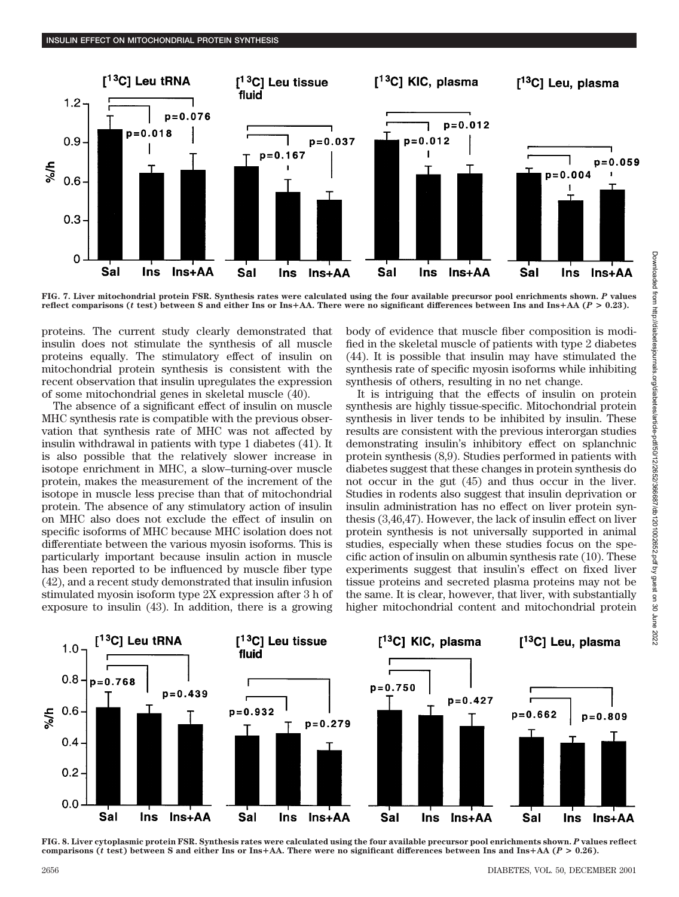

**FIG. 7. Liver mitochondrial protein FSR. Synthesis rates were calculated using the four available precursor pool enrichments shown.** *P* **values reflect comparisons (***t* **test) between S and either Ins or InsAA. There were no significant differences between Ins and InsAA (***P* **> 0.23).**

proteins. The current study clearly demonstrated that insulin does not stimulate the synthesis of all muscle proteins equally. The stimulatory effect of insulin on mitochondrial protein synthesis is consistent with the recent observation that insulin upregulates the expression of some mitochondrial genes in skeletal muscle (40).

The absence of a significant effect of insulin on muscle MHC synthesis rate is compatible with the previous observation that synthesis rate of MHC was not affected by insulin withdrawal in patients with type 1 diabetes (41). It is also possible that the relatively slower increase in isotope enrichment in MHC, a slow–turning-over muscle protein, makes the measurement of the increment of the isotope in muscle less precise than that of mitochondrial protein. The absence of any stimulatory action of insulin on MHC also does not exclude the effect of insulin on specific isoforms of MHC because MHC isolation does not differentiate between the various myosin isoforms. This is particularly important because insulin action in muscle has been reported to be influenced by muscle fiber type (42), and a recent study demonstrated that insulin infusion stimulated myosin isoform type 2X expression after 3 h of exposure to insulin (43). In addition, there is a growing body of evidence that muscle fiber composition is modified in the skeletal muscle of patients with type 2 diabetes (44). It is possible that insulin may have stimulated the synthesis rate of specific myosin isoforms while inhibiting synthesis of others, resulting in no net change.

It is intriguing that the effects of insulin on protein synthesis are highly tissue-specific. Mitochondrial protein synthesis in liver tends to be inhibited by insulin. These results are consistent with the previous interorgan studies demonstrating insulin's inhibitory effect on splanchnic protein synthesis (8,9). Studies performed in patients with diabetes suggest that these changes in protein synthesis do not occur in the gut (45) and thus occur in the liver. Studies in rodents also suggest that insulin deprivation or insulin administration has no effect on liver protein synthesis (3,46,47). However, the lack of insulin effect on liver protein synthesis is not universally supported in animal studies, especially when these studies focus on the specific action of insulin on albumin synthesis rate (10). These experiments suggest that insulin's effect on fixed liver tissue proteins and secreted plasma proteins may not be the same. It is clear, however, that liver, with substantially higher mitochondrial content and mitochondrial protein



**FIG. 8. Liver cytoplasmic protein FSR. Synthesis rates were calculated using the four available precursor pool enrichments shown.** *P* **values reflect** comparisons (*t* test) between S and either Ins or Ins+AA. There were no significant differences between Ins and Ins+AA ( $P > 0.26$ ).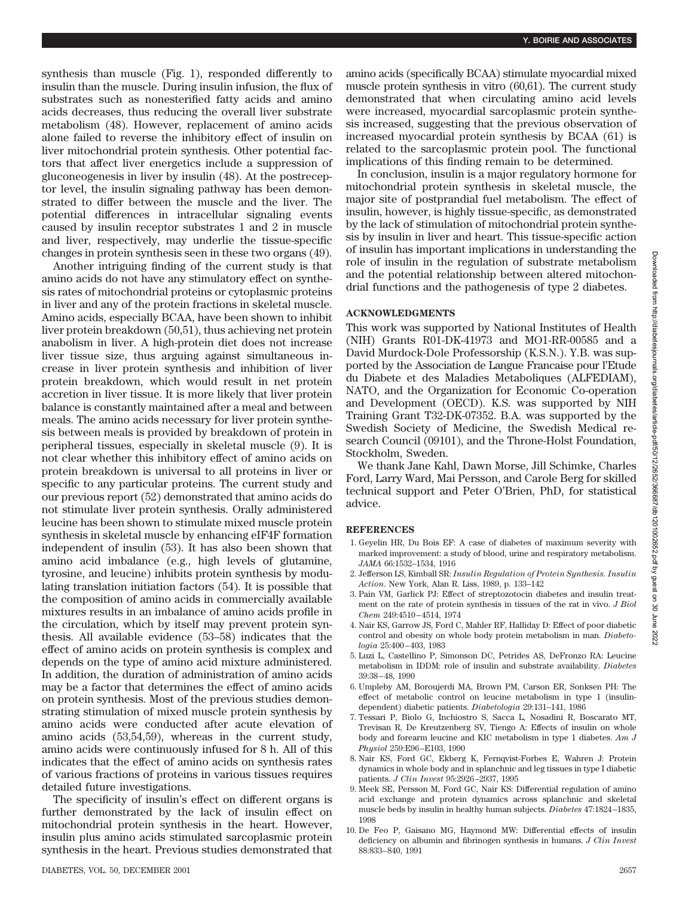synthesis than muscle (Fig. 1), responded differently to insulin than the muscle. During insulin infusion, the flux of substrates such as nonesterified fatty acids and amino acids decreases, thus reducing the overall liver substrate metabolism (48). However, replacement of amino acids alone failed to reverse the inhibitory effect of insulin on liver mitochondrial protein synthesis. Other potential factors that affect liver energetics include a suppression of gluconeogenesis in liver by insulin (48). At the postreceptor level, the insulin signaling pathway has been demonstrated to differ between the muscle and the liver. The potential differences in intracellular signaling events caused by insulin receptor substrates 1 and 2 in muscle and liver, respectively, may underlie the tissue-specific changes in protein synthesis seen in these two organs (49).

Another intriguing finding of the current study is that amino acids do not have any stimulatory effect on synthesis rates of mitochondrial proteins or cytoplasmic proteins in liver and any of the protein fractions in skeletal muscle. Amino acids, especially BCAA, have been shown to inhibit liver protein breakdown (50,51), thus achieving net protein anabolism in liver. A high-protein diet does not increase liver tissue size, thus arguing against simultaneous increase in liver protein synthesis and inhibition of liver protein breakdown, which would result in net protein accretion in liver tissue. It is more likely that liver protein balance is constantly maintained after a meal and between meals. The amino acids necessary for liver protein synthesis between meals is provided by breakdown of protein in peripheral tissues, especially in skeletal muscle (9). It is not clear whether this inhibitory effect of amino acids on protein breakdown is universal to all proteins in liver or specific to any particular proteins. The current study and our previous report (52) demonstrated that amino acids do not stimulate liver protein synthesis. Orally administered leucine has been shown to stimulate mixed muscle protein synthesis in skeletal muscle by enhancing eIF4F formation independent of insulin (53). It has also been shown that amino acid imbalance (e.g., high levels of glutamine, tyrosine, and leucine) inhibits protein synthesis by modulating translation initiation factors (54). It is possible that the composition of amino acids in commercially available mixtures results in an imbalance of amino acids profile in the circulation, which by itself may prevent protein synthesis. All available evidence (53–58) indicates that the effect of amino acids on protein synthesis is complex and depends on the type of amino acid mixture administered. In addition, the duration of administration of amino acids may be a factor that determines the effect of amino acids on protein synthesis. Most of the previous studies demonstrating stimulation of mixed muscle protein synthesis by amino acids were conducted after acute elevation of amino acids (53,54,59), whereas in the current study, amino acids were continuously infused for 8 h. All of this indicates that the effect of amino acids on synthesis rates of various fractions of proteins in various tissues requires detailed future investigations.

The specificity of insulin's effect on different organs is further demonstrated by the lack of insulin effect on mitochondrial protein synthesis in the heart. However, insulin plus amino acids stimulated sarcoplasmic protein synthesis in the heart. Previous studies demonstrated that amino acids (specifically BCAA) stimulate myocardial mixed muscle protein synthesis in vitro (60,61). The current study demonstrated that when circulating amino acid levels were increased, myocardial sarcoplasmic protein synthesis increased, suggesting that the previous observation of increased myocardial protein synthesis by BCAA (61) is related to the sarcoplasmic protein pool. The functional implications of this finding remain to be determined.

In conclusion, insulin is a major regulatory hormone for mitochondrial protein synthesis in skeletal muscle, the major site of postprandial fuel metabolism. The effect of insulin, however, is highly tissue-specific, as demonstrated by the lack of stimulation of mitochondrial protein synthesis by insulin in liver and heart. This tissue-specific action of insulin has important implications in understanding the role of insulin in the regulation of substrate metabolism and the potential relationship between altered mitochondrial functions and the pathogenesis of type 2 diabetes.

## **ACKNOWLEDGMENTS**

This work was supported by National Institutes of Health (NIH) Grants R01-DK-41973 and MO1-RR-00585 and a David Murdock-Dole Professorship (K.S.N.). Y.B. was supported by the Association de Langue Francaise pour l'Etude du Diabete et des Maladies Metaboliques (ALFEDIAM), NATO, and the Organization for Economic Co-operation and Development (OECD). K.S. was supported by NIH Training Grant T32-DK-07352. B.A. was supported by the Swedish Society of Medicine, the Swedish Medical research Council (09101), and the Throne-Holst Foundation, Stockholm, Sweden.

We thank Jane Kahl, Dawn Morse, Jill Schimke, Charles Ford, Larry Ward, Mai Persson, and Carole Berg for skilled technical support and Peter O'Brien, PhD, for statistical advice.

## **REFERENCES**

- 1. Geyelin HR, Du Bois EF: A case of diabetes of maximum severity with marked improvement: a study of blood, urine and respiratory metabolism. *JAMA* 66:1532–1534, 1916
- 2. Jefferson LS, Kimball SR: *Insulin Regulation of Protein Synthesis. Insulin Action*. New York, Alan R. Liss, 1989, p. 133–142
- 3. Pain VM, Garlick PJ: Effect of streptozotocin diabetes and insulin treatment on the rate of protein synthesis in tissues of the rat in vivo. *J Biol Chem* 249:4510–4514, 1974
- 4. Nair KS, Garrow JS, Ford C, Mahler RF, Halliday D: Effect of poor diabetic control and obesity on whole body protein metabolism in man. *Diabetologia* 25:400–403, 1983
- 5. Luzi L, Castellino P, Simonson DC, Petrides AS, DeFronzo RA: Leucine metabolism in IDDM: role of insulin and substrate availability. *Diabetes* 39:38–48, 1990
- 6. Umpleby AM, Boroujerdi MA, Brown PM, Carson ER, Sonksen PH: The effect of metabolic control on leucine metabolism in type 1 (insulindependent) diabetic patients. *Diabetologia* 29:131–141, 1986
- 7. Tessari P, Biolo G, Inchiostro S, Sacca L, Nosadini R, Boscarato MT, Trevisan R, De Kreutzenberg SV, Tiengo A: Effects of insulin on whole body and forearm leucine and KIC metabolism in type 1 diabetes. *Am J Physiol* 259:E96–E103, 1990
- 8. Nair KS, Ford GC, Ekberg K, Fernqvist-Forbes E, Wahren J: Protein dynamics in whole body and in splanchnic and leg tissues in type I diabetic patients. *J Clin Invest* 95:2926–2937, 1995
- 9. Meek SE, Persson M, Ford GC, Nair KS: Differential regulation of amino acid exchange and protein dynamics across splanchnic and skeletal muscle beds by insulin in healthy human subjects. *Diabetes* 47:1824–1835, 1998
- 10. De Feo P, Gaisano MG, Haymond MW: Differential effects of insulin deficiency on albumin and fibrinogen synthesis in humans. *J Clin Invest* 88:833–840, 1991